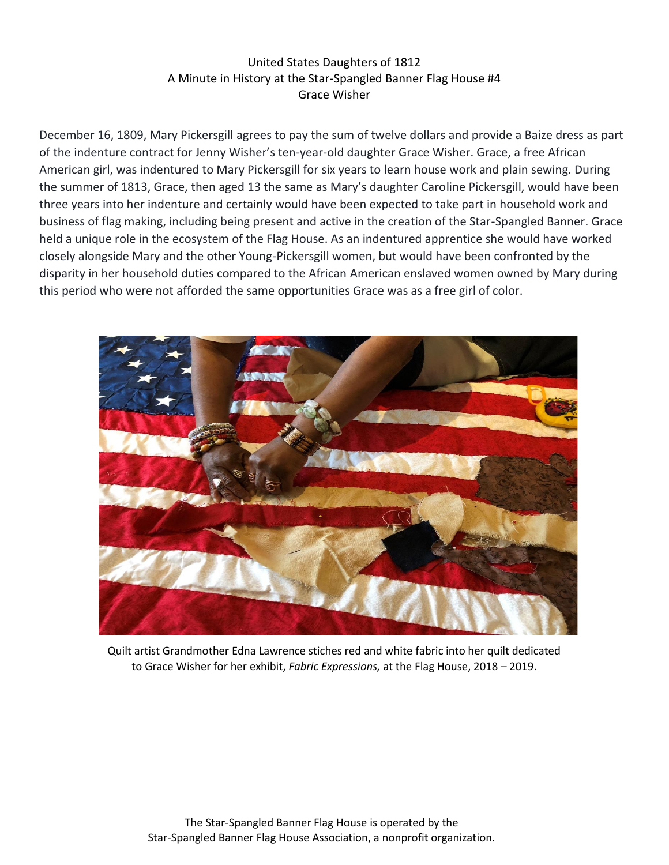## United States Daughters of 1812 A Minute in History at the Star-Spangled Banner Flag House #4 Grace Wisher

December 16, 1809, Mary Pickersgill agrees to pay the sum of twelve dollars and provide a Baize dress as part of the indenture contract for Jenny Wisher's ten-year-old daughter Grace Wisher. Grace, a free African American girl, was indentured to Mary Pickersgill for six years to learn house work and plain sewing. During the summer of 1813, Grace, then aged 13 the same as Mary's daughter Caroline Pickersgill, would have been three years into her indenture and certainly would have been expected to take part in household work and business of flag making, including being present and active in the creation of the Star-Spangled Banner. Grace held a unique role in the ecosystem of the Flag House. As an indentured apprentice she would have worked closely alongside Mary and the other Young-Pickersgill women, but would have been confronted by the disparity in her household duties compared to the African American enslaved women owned by Mary during this period who were not afforded the same opportunities Grace was as a free girl of color.



Quilt artist Grandmother Edna Lawrence stiches red and white fabric into her quilt dedicated to Grace Wisher for her exhibit, *Fabric Expressions,* at the Flag House, 2018 – 2019.